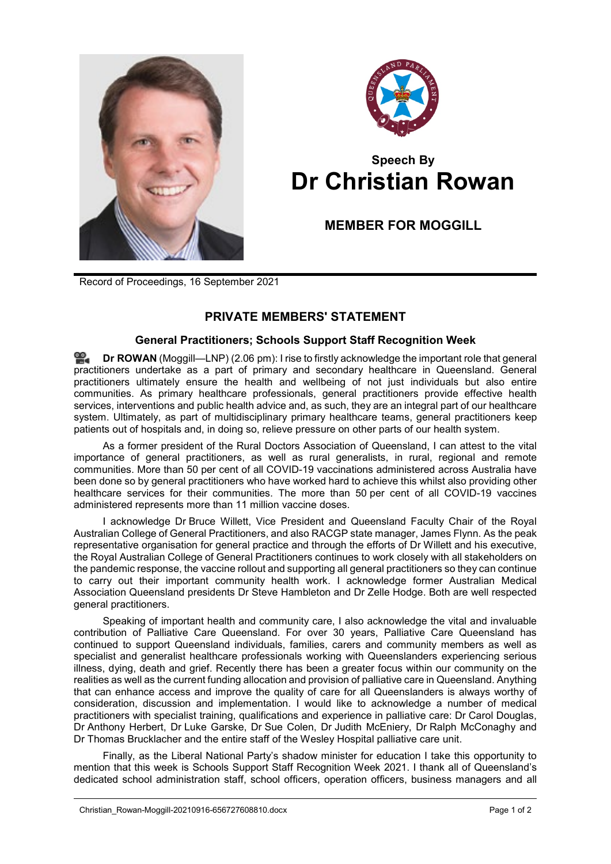



## **Speech By Dr Christian Rowan**

**MEMBER FOR MOGGILL**

Record of Proceedings, 16 September 2021

## **PRIVATE MEMBERS' STATEMENT**

## **General Practitioners; Schools Support Staff Recognition Week**

**Dr [ROWAN](http://www.parliament.qld.gov.au/docs/find.aspx?id=0Mba20210916_140621)** (Moggill—LNP) (2.06 pm): I rise to firstly acknowledge the important role that general practitioners undertake as a part of primary and secondary healthcare in Queensland. General practitioners ultimately ensure the health and wellbeing of not just individuals but also entire communities. As primary healthcare professionals, general practitioners provide effective health services, interventions and public health advice and, as such, they are an integral part of our healthcare system. Ultimately, as part of multidisciplinary primary healthcare teams, general practitioners keep patients out of hospitals and, in doing so, relieve pressure on other parts of our health system.

As a former president of the Rural Doctors Association of Queensland, I can attest to the vital importance of general practitioners, as well as rural generalists, in rural, regional and remote communities. More than 50 per cent of all COVID-19 vaccinations administered across Australia have been done so by general practitioners who have worked hard to achieve this whilst also providing other healthcare services for their communities. The more than 50 per cent of all COVID-19 vaccines administered represents more than 11 million vaccine doses.

I acknowledge Dr Bruce Willett, Vice President and Queensland Faculty Chair of the Royal Australian College of General Practitioners, and also RACGP state manager, James Flynn. As the peak representative organisation for general practice and through the efforts of Dr Willett and his executive, the Royal Australian College of General Practitioners continues to work closely with all stakeholders on the pandemic response, the vaccine rollout and supporting all general practitioners so they can continue to carry out their important community health work. I acknowledge former Australian Medical Association Queensland presidents Dr Steve Hambleton and Dr Zelle Hodge. Both are well respected general practitioners.

Speaking of important health and community care, I also acknowledge the vital and invaluable contribution of Palliative Care Queensland. For over 30 years, Palliative Care Queensland has continued to support Queensland individuals, families, carers and community members as well as specialist and generalist healthcare professionals working with Queenslanders experiencing serious illness, dying, death and grief. Recently there has been a greater focus within our community on the realities as well as the current funding allocation and provision of palliative care in Queensland. Anything that can enhance access and improve the quality of care for all Queenslanders is always worthy of consideration, discussion and implementation. I would like to acknowledge a number of medical practitioners with specialist training, qualifications and experience in palliative care: Dr Carol Douglas, Dr Anthony Herbert, Dr Luke Garske, Dr Sue Colen, Dr Judith McEniery, Dr Ralph McConaghy and Dr Thomas Brucklacher and the entire staff of the Wesley Hospital palliative care unit.

Finally, as the Liberal National Party's shadow minister for education I take this opportunity to mention that this week is Schools Support Staff Recognition Week 2021. I thank all of Queensland's dedicated school administration staff, school officers, operation officers, business managers and all